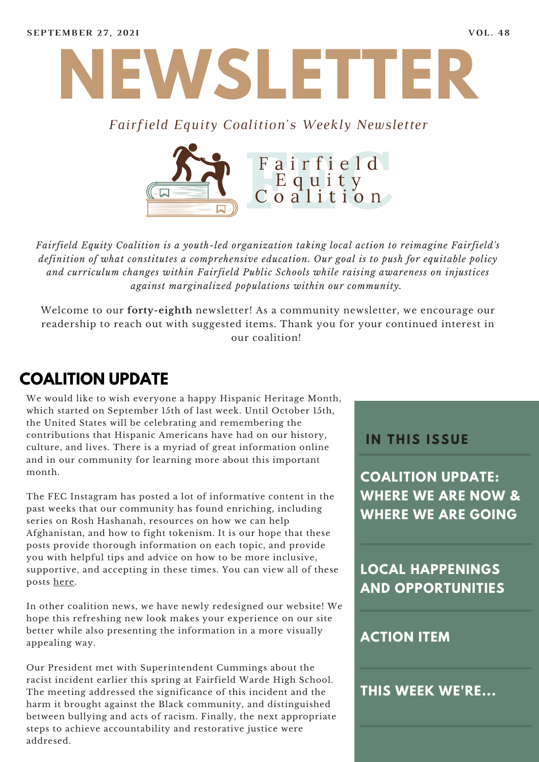

#### *Fairfield Equity Coalition's Weekly Newsletter*



*Fairfield Equity Coalition is a youth-led organization taking local action to reimagine Fairfield's definition of what constitutes a comprehensive education. Our goal is to push for equitable policy and curriculum changes within Fairfield Public Schools while raising awareness on injustices against marginalized populations within our community.*

Welcome to our **forty-eighth** newsletter! As a community newsletter, we encourage our readership to reach out with suggested items. Thank you for your continued interest in our coalition!

## **COALITION UPDATE**

We would like to wish everyone a happy Hispanic Heritage Month, which started on September 15th of last week. Until October 15th, the United States will be celebrating and remembering the contributions that Hispanic Americans have had on our history, culture, and lives. There is a myriad of great information online and in our community for learning more about this important month.

The FEC Instagram has posted a lot of informative content in the past weeks that our community has found enriching, including series on Rosh Hashanah, resources on how we can help Afghanistan, and how to fight tokenism. It is our hope that these posts provide thorough information on each topic, and provide you with helpful tips and advice on how to be more inclusive, supportive, and accepting in these times. You can view all of these posts [here](https://www.instagram.com/fairfieldequitycoalition/).

In other coalition news, we have newly redesigned our website! We hope this refreshing new look makes your experience on our site better while also presenting the information in a more visually appealing way.

Our President met with Superintendent Cummings about the racist incident earlier this spring at Fairfield Warde High School. The meeting addressed the significance of this incident and the harm it brought against the Black community, and distinguished between bullying and acts of racism. Finally, the next appropriate steps to achieve accountability and restorative justice were addresed.

#### **I N THIS ISSUE**

**COALITION UPDATE: WHERE WE ARE NOW & WHERE WE ARE GOING**

**LOCAL HAPPENINGS AND OPPORTUNITIES**

#### **ACTION ITEM**

**THIS WEEK WE'RE...**